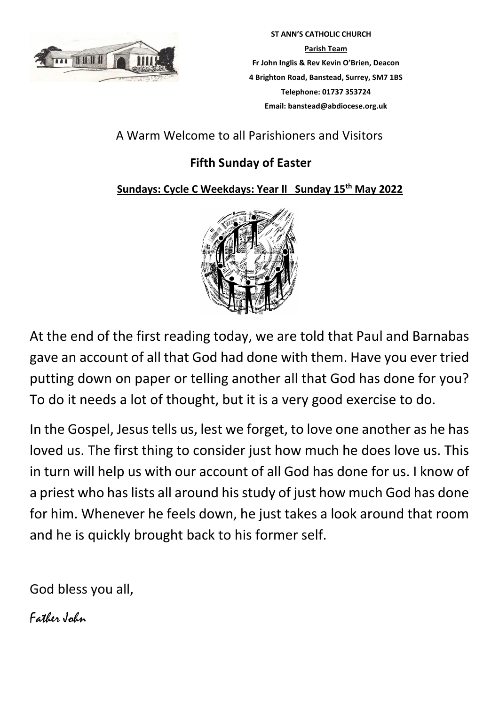

 **ST ANN'S CATHOLIC CHURCH Parish Team Fr John Inglis & Rev Kevin O'Brien, Deacon 4 Brighton Road, Banstead, Surrey, SM7 1BS Telephone: 01737 353724 Email: banstead@abdiocese.org.uk**

# A Warm Welcome to all Parishioners and Visitors

# **Fifth Sunday of Easter**

## **Sundays: Cycle C Weekdays: Year ll Sunday 15th May 2022**



At the end of the first reading today, we are told that Paul and Barnabas gave an account of all that God had done with them. Have you ever tried putting down on paper or telling another all that God has done for you? To do it needs a lot of thought, but it is a very good exercise to do.

In the Gospel, Jesus tells us, lest we forget, to love one another as he has loved us. The first thing to consider just how much he does love us. This in turn will help us with our account of all God has done for us. I know of a priest who has lists all around his study of just how much God has done for him. Whenever he feels down, he just takes a look around that room and he is quickly brought back to his former self.

God bless you all,

Father John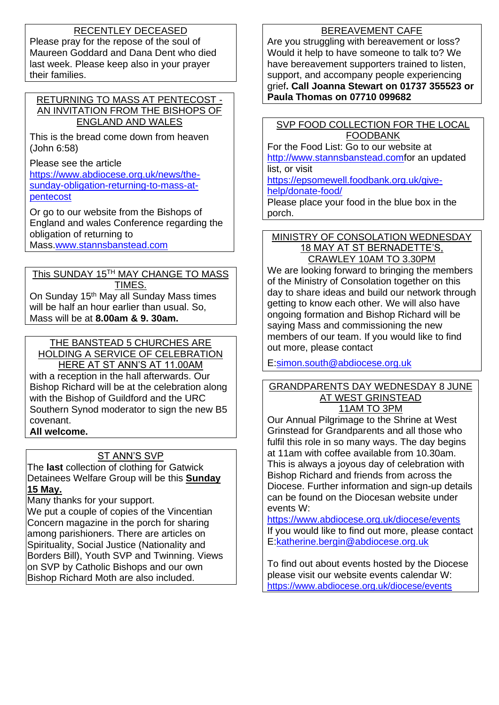### RECENTLEY DECEASED

Please pray for the repose of the soul of Maureen Goddard and Dana Dent who died last week. Please keep also in your prayer their families.

### RETURNING TO MASS AT PENTECOST - AN INVITATION FROM THE BISHOPS OF ENGLAND AND WALES

This is the bread come down from heaven (John 6:58)

Please see the article [https://www.abdiocese.org.uk/news/the](https://www.abdiocese.org.uk/news/the-sunday-obligation-returning-to-mass-at-pentecost)[sunday-obligation-returning-to-mass-at](https://www.abdiocese.org.uk/news/the-sunday-obligation-returning-to-mass-at-pentecost)[pentecost](https://www.abdiocese.org.uk/news/the-sunday-obligation-returning-to-mass-at-pentecost)

Or go to our website from the Bishops of England and wales Conference regarding the obligation of returning to Mass[.www.stannsbanstead.com](http://www.stannsbanstead.com/)

This SUNDAY 15TH MAY CHANGE TO MASS TIMES. On Sunday 15th May all Sunday Mass times will be half an hour earlier than usual. So, Mass will be at **8.00am & 9. 30am.**

## THE BANSTEAD 5 CHURCHES ARE

HOLDING A SERVICE OF CELEBRATION

HERE AT ST ANN'S AT 11.00AM with a reception in the hall afterwards. Our Bishop Richard will be at the celebration along with the Bishop of Guildford and the URC Southern Synod moderator to sign the new B5 covenant.

### **All welcome.**

### ST ANN'S SVP

The **last** collection of clothing for Gatwick Detainees Welfare Group will be this **Sunday 15 May.**

Many thanks for your support.

We put a couple of copies of the Vincentian Concern magazine in the porch for sharing among parishioners. There are articles on Spirituality, Social Justice (Nationality and Borders Bill), Youth SVP and Twinning. Views on SVP by Catholic Bishops and our own Bishop Richard Moth are also included.

### BEREAVEMENT CAFE

Are you struggling with bereavement or loss? Would it help to have someone to talk to? We have bereavement supporters trained to listen, support, and accompany people experiencing grief**. Call Joanna Stewart on 01737 355523 or Paula Thomas on 07710 099682** 

SVP FOOD COLLECTION FOR THE LOCAL FOODBANK

For the Food List: Go to our website at [http://www.stannsbanstead.comf](http://www.stannsbanstead.com/)or an updated list, or visit

[https://epsomewell.foodbank.org.uk/give-](https://epsomewell.foodbank.org.uk/give-help/donate-food/)

### [help/donate-food/](https://epsomewell.foodbank.org.uk/give-help/donate-food/)

Please place your food in the blue box in the porch.

#### MINISTRY OF CONSOLATION WEDNESDAY 18 MAY AT ST BERNADETTE'S, CRAWLEY 10AM TO 3.30PM

We are looking forward to bringing the members of the Ministry of Consolation together on this day to share ideas and build our network through getting to know each other. We will also have ongoing formation and Bishop Richard will be saying Mass and commissioning the new members of our team. If you would like to find out more, please contact

E[:simon.south@abdiocese.org.uk](mailto:simon.south@abdiocese.org.uk)

#### GRANDPARENTS DAY WEDNESDAY 8 JUNE AT WEST GRINSTEAD 11AM TO 3PM

Our Annual Pilgrimage to the Shrine at West Grinstead for Grandparents and all those who fulfil this role in so many ways. The day begins at 11am with coffee available from 10.30am. This is always a joyous day of celebration with Bishop Richard and friends from across the Diocese. Further information and sign-up details can be found on the Diocesan website under events W:

<https://www.abdiocese.org.uk/diocese/events> If you would like to find out more, please contact E[:katherine.bergin@abdiocese.org.uk](mailto:katherine.bergin@abdiocese.org.uk)

To find out about events hosted by the Diocese please visit our website events calendar W: <https://www.abdiocese.org.uk/diocese/events>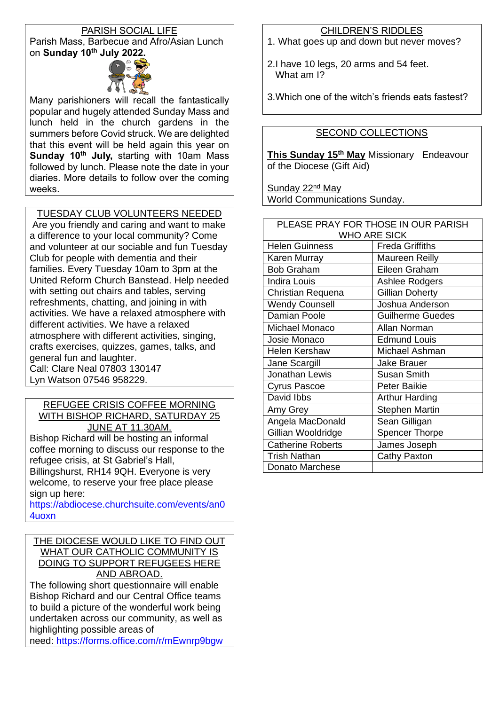### PARISH SOCIAL LIFE Parish Mass, Barbecue and Afro/Asian Lunch on **Sunday 10th July 2022.**



Many parishioners will recall the fantastically popular and hugely attended Sunday Mass and lunch held in the church gardens in the summers before Covid struck. We are delighted that this event will be held again this year on **Sunday 10th July,** starting with 10am Mass followed by lunch. Please note the date in your diaries. More details to follow over the coming weeks.

TUESDAY CLUB VOLUNTEERS NEEDED

Are you friendly and caring and want to make a difference to your local community? Come and volunteer at our sociable and fun Tuesday Club for people with dementia and their families. Every Tuesday 10am to 3pm at the United Reform Church Banstead. Help needed with setting out chairs and tables, serving refreshments, chatting, and joining in with activities. We have a relaxed atmosphere with different activities. We have a relaxed atmosphere with different activities, singing, crafts exercises, quizzes, games, talks, and general fun and laughter. Call: Clare Neal 07803 130147 Lyn Watson 07546 958229.

#### REFUGEE CRISIS COFFEE MORNING WITH BISHOP RICHARD, SATURDAY 25 JUNE AT 11.30AM.

Bishop Richard will be hosting an informal coffee morning to discuss our response to the refugee crisis, at St Gabriel's Hall, Billingshurst, RH14 9QH. Everyone is very welcome, to reserve your free place please sign up here:

[https://abdiocese.churchsuite.com/events/an0](https://abdiocese.churchsuite.com/events/an04uoxn) [4uoxn](https://abdiocese.churchsuite.com/events/an04uoxn)

#### THE DIOCESE WOULD LIKE TO FIND OUT WHAT OUR CATHOLIC COMMUNITY IS DOING TO SUPPORT REFUGEES HERE AND ABROAD.

The following short questionnaire will enable Bishop Richard and our Central Office teams to build a picture of the wonderful work being undertaken across our community, as well as highlighting possible areas of

need: <https://forms.office.com/r/mEwnrp9bgw>

### CHILDREN'S RIDDLES

- 1. What goes up and down but never moves?
- 2.I have 10 legs, 20 arms and 54 feet. What am I?

3.Which one of the witch's friends eats fastest?

### SECOND COLLECTIONS

**This Sunday 15th May** Missionary Endeavour of the Diocese (Gift Aid)

Sunday 22<sup>nd</sup> May World Communications Sunday.

| PLEASE PRAY FOR THOSE IN OUR PARISH |                         |  |  |
|-------------------------------------|-------------------------|--|--|
| <b>WHO ARE SICK</b>                 |                         |  |  |
| <b>Helen Guinness</b>               | <b>Freda Griffiths</b>  |  |  |
| Karen Murray                        | Maureen Reilly          |  |  |
| <b>Bob Graham</b>                   | Eileen Graham           |  |  |
| <b>Indira Louis</b>                 | Ashlee Rodgers          |  |  |
| Christian Requena                   | Gillian Doherty         |  |  |
| <b>Wendy Counsell</b>               | Joshua Anderson         |  |  |
| Damian Poole                        | <b>Guilherme Guedes</b> |  |  |
| Michael Monaco                      | Allan Norman            |  |  |
| Josie Monaco                        | <b>Edmund Louis</b>     |  |  |
| Helen Kershaw                       | Michael Ashman          |  |  |
| Jane Scargill                       | <b>Jake Brauer</b>      |  |  |
| Jonathan Lewis                      | <b>Susan Smith</b>      |  |  |
| <b>Cyrus Pascoe</b>                 | Peter Baikie            |  |  |
| David Ibbs                          | <b>Arthur Harding</b>   |  |  |
| Amy Grey                            | <b>Stephen Martin</b>   |  |  |
| Angela MacDonald                    | Sean Gilligan           |  |  |
| Gillian Wooldridge                  | <b>Spencer Thorpe</b>   |  |  |
| <b>Catherine Roberts</b>            | James Joseph            |  |  |
| <b>Trish Nathan</b>                 | <b>Cathy Paxton</b>     |  |  |
| Donato Marchese                     |                         |  |  |